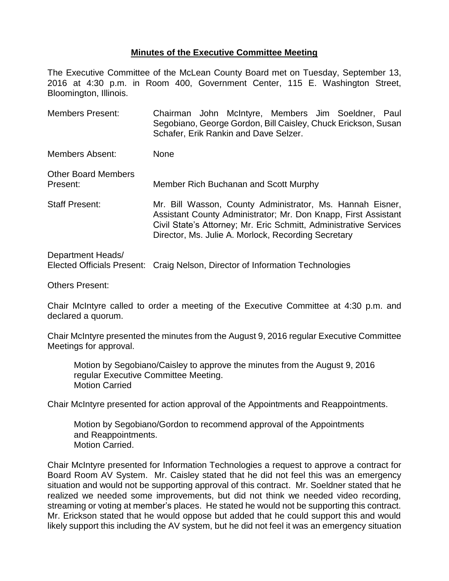## **Minutes of the Executive Committee Meeting**

The Executive Committee of the McLean County Board met on Tuesday, September 13, 2016 at 4:30 p.m. in Room 400, Government Center, 115 E. Washington Street, Bloomington, Illinois.

Members Present: Chairman John McIntyre, Members Jim Soeldner, Paul Segobiano, George Gordon, Bill Caisley, Chuck Erickson, Susan Schafer, Erik Rankin and Dave Selzer.

Members Absent: None

| <b>Other Board Members</b><br>Present: | Member Rich Buchanan and Scott Murphy                                                                                                                                                                                                                   |
|----------------------------------------|---------------------------------------------------------------------------------------------------------------------------------------------------------------------------------------------------------------------------------------------------------|
| <b>Staff Present:</b>                  | Mr. Bill Wasson, County Administrator, Ms. Hannah Eisner,<br>Assistant County Administrator; Mr. Don Knapp, First Assistant<br>Civil State's Attorney; Mr. Eric Schmitt, Administrative Services<br>Director, Ms. Julie A. Morlock, Recording Secretary |

## Department Heads/ Elected Officials Present: Craig Nelson, Director of Information Technologies

Others Present:

Chair McIntyre called to order a meeting of the Executive Committee at 4:30 p.m. and declared a quorum.

Chair McIntyre presented the minutes from the August 9, 2016 regular Executive Committee Meetings for approval.

Motion by Segobiano/Caisley to approve the minutes from the August 9, 2016 regular Executive Committee Meeting. Motion Carried

Chair McIntyre presented for action approval of the Appointments and Reappointments.

Motion by Segobiano/Gordon to recommend approval of the Appointments and Reappointments. Motion Carried.

Chair McIntyre presented for Information Technologies a request to approve a contract for Board Room AV System. Mr. Caisley stated that he did not feel this was an emergency situation and would not be supporting approval of this contract. Mr. Soeldner stated that he realized we needed some improvements, but did not think we needed video recording, streaming or voting at member's places. He stated he would not be supporting this contract. Mr. Erickson stated that he would oppose but added that he could support this and would likely support this including the AV system, but he did not feel it was an emergency situation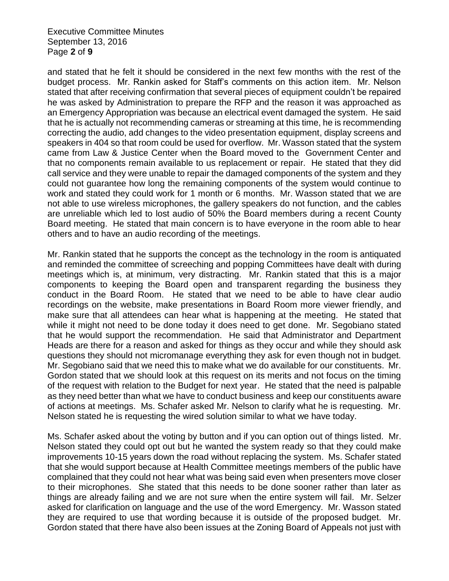Executive Committee Minutes September 13, 2016 Page **2** of **9**

and stated that he felt it should be considered in the next few months with the rest of the budget process. Mr. Rankin asked for Staff's comments on this action item. Mr. Nelson stated that after receiving confirmation that several pieces of equipment couldn't be repaired he was asked by Administration to prepare the RFP and the reason it was approached as an Emergency Appropriation was because an electrical event damaged the system. He said that he is actually not recommending cameras or streaming at this time, he is recommending correcting the audio, add changes to the video presentation equipment, display screens and speakers in 404 so that room could be used for overflow. Mr. Wasson stated that the system came from Law & Justice Center when the Board moved to the Government Center and that no components remain available to us replacement or repair. He stated that they did call service and they were unable to repair the damaged components of the system and they could not guarantee how long the remaining components of the system would continue to work and stated they could work for 1 month or 6 months. Mr. Wasson stated that we are not able to use wireless microphones, the gallery speakers do not function, and the cables are unreliable which led to lost audio of 50% the Board members during a recent County Board meeting. He stated that main concern is to have everyone in the room able to hear others and to have an audio recording of the meetings.

Mr. Rankin stated that he supports the concept as the technology in the room is antiquated and reminded the committee of screeching and popping Committees have dealt with during meetings which is, at minimum, very distracting. Mr. Rankin stated that this is a major components to keeping the Board open and transparent regarding the business they conduct in the Board Room. He stated that we need to be able to have clear audio recordings on the website, make presentations in Board Room more viewer friendly, and make sure that all attendees can hear what is happening at the meeting. He stated that while it might not need to be done today it does need to get done. Mr. Segobiano stated that he would support the recommendation. He said that Administrator and Department Heads are there for a reason and asked for things as they occur and while they should ask questions they should not micromanage everything they ask for even though not in budget. Mr. Segobiano said that we need this to make what we do available for our constituents. Mr. Gordon stated that we should look at this request on its merits and not focus on the timing of the request with relation to the Budget for next year. He stated that the need is palpable as they need better than what we have to conduct business and keep our constituents aware of actions at meetings. Ms. Schafer asked Mr. Nelson to clarify what he is requesting. Mr. Nelson stated he is requesting the wired solution similar to what we have today.

Ms. Schafer asked about the voting by button and if you can option out of things listed. Mr. Nelson stated they could opt out but he wanted the system ready so that they could make improvements 10-15 years down the road without replacing the system. Ms. Schafer stated that she would support because at Health Committee meetings members of the public have complained that they could not hear what was being said even when presenters move closer to their microphones. She stated that this needs to be done sooner rather than later as things are already failing and we are not sure when the entire system will fail. Mr. Selzer asked for clarification on language and the use of the word Emergency. Mr. Wasson stated they are required to use that wording because it is outside of the proposed budget. Mr. Gordon stated that there have also been issues at the Zoning Board of Appeals not just with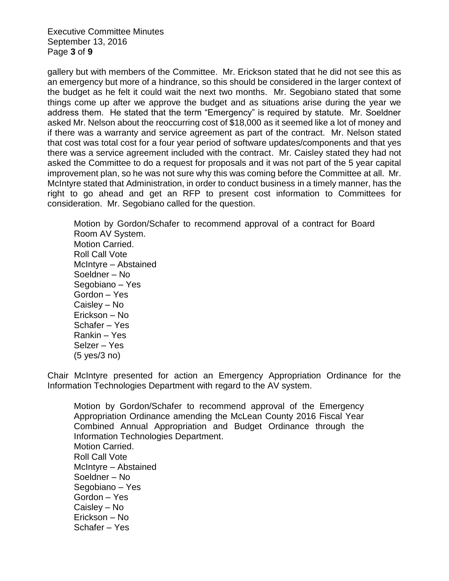Executive Committee Minutes September 13, 2016 Page **3** of **9**

gallery but with members of the Committee. Mr. Erickson stated that he did not see this as an emergency but more of a hindrance, so this should be considered in the larger context of the budget as he felt it could wait the next two months. Mr. Segobiano stated that some things come up after we approve the budget and as situations arise during the year we address them. He stated that the term "Emergency" is required by statute. Mr. Soeldner asked Mr. Nelson about the reoccurring cost of \$18,000 as it seemed like a lot of money and if there was a warranty and service agreement as part of the contract. Mr. Nelson stated that cost was total cost for a four year period of software updates/components and that yes there was a service agreement included with the contract. Mr. Caisley stated they had not asked the Committee to do a request for proposals and it was not part of the 5 year capital improvement plan, so he was not sure why this was coming before the Committee at all. Mr. McIntyre stated that Administration, in order to conduct business in a timely manner, has the right to go ahead and get an RFP to present cost information to Committees for consideration. Mr. Segobiano called for the question.

Motion by Gordon/Schafer to recommend approval of a contract for Board Room AV System. Motion Carried. Roll Call Vote McIntyre – Abstained Soeldner – No Segobiano – Yes Gordon – Yes Caisley – No Erickson – No Schafer – Yes Rankin – Yes Selzer – Yes (5 yes/3 no)

Chair McIntyre presented for action an Emergency Appropriation Ordinance for the Information Technologies Department with regard to the AV system.

Motion by Gordon/Schafer to recommend approval of the Emergency Appropriation Ordinance amending the McLean County 2016 Fiscal Year Combined Annual Appropriation and Budget Ordinance through the Information Technologies Department. Motion Carried. Roll Call Vote McIntyre – Abstained Soeldner – No Segobiano – Yes Gordon – Yes Caisley – No Erickson – No Schafer – Yes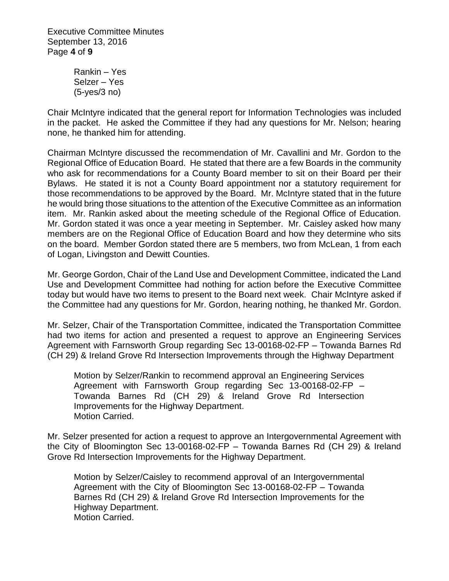Executive Committee Minutes September 13, 2016 Page **4** of **9**

> Rankin – Yes Selzer – Yes (5-yes/3 no)

Chair McIntyre indicated that the general report for Information Technologies was included in the packet. He asked the Committee if they had any questions for Mr. Nelson; hearing none, he thanked him for attending.

Chairman McIntyre discussed the recommendation of Mr. Cavallini and Mr. Gordon to the Regional Office of Education Board. He stated that there are a few Boards in the community who ask for recommendations for a County Board member to sit on their Board per their Bylaws. He stated it is not a County Board appointment nor a statutory requirement for those recommendations to be approved by the Board. Mr. McIntyre stated that in the future he would bring those situations to the attention of the Executive Committee as an information item. Mr. Rankin asked about the meeting schedule of the Regional Office of Education. Mr. Gordon stated it was once a year meeting in September. Mr. Caisley asked how many members are on the Regional Office of Education Board and how they determine who sits on the board. Member Gordon stated there are 5 members, two from McLean, 1 from each of Logan, Livingston and Dewitt Counties.

Mr. George Gordon, Chair of the Land Use and Development Committee, indicated the Land Use and Development Committee had nothing for action before the Executive Committee today but would have two items to present to the Board next week. Chair McIntyre asked if the Committee had any questions for Mr. Gordon, hearing nothing, he thanked Mr. Gordon.

Mr. Selzer, Chair of the Transportation Committee, indicated the Transportation Committee had two items for action and presented a request to approve an Engineering Services Agreement with Farnsworth Group regarding Sec 13-00168-02-FP – Towanda Barnes Rd (CH 29) & Ireland Grove Rd Intersection Improvements through the Highway Department

Motion by Selzer/Rankin to recommend approval an Engineering Services Agreement with Farnsworth Group regarding Sec 13-00168-02-FP – Towanda Barnes Rd (CH 29) & Ireland Grove Rd Intersection Improvements for the Highway Department. Motion Carried.

Mr. Selzer presented for action a request to approve an Intergovernmental Agreement with the City of Bloomington Sec 13-00168-02-FP – Towanda Barnes Rd (CH 29) & Ireland Grove Rd Intersection Improvements for the Highway Department.

Motion by Selzer/Caisley to recommend approval of an Intergovernmental Agreement with the City of Bloomington Sec 13-00168-02-FP – Towanda Barnes Rd (CH 29) & Ireland Grove Rd Intersection Improvements for the Highway Department. Motion Carried.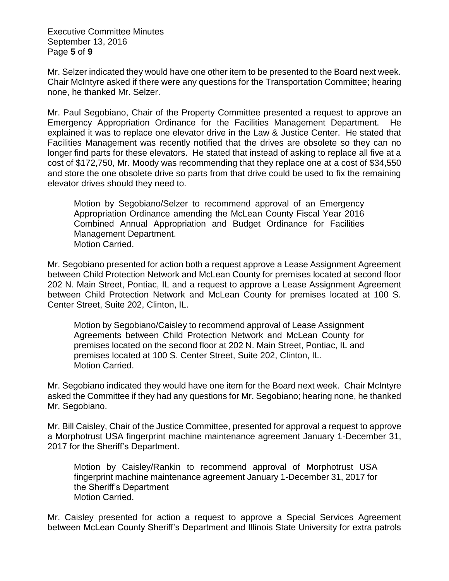Executive Committee Minutes September 13, 2016 Page **5** of **9**

Mr. Selzer indicated they would have one other item to be presented to the Board next week. Chair McIntyre asked if there were any questions for the Transportation Committee; hearing none, he thanked Mr. Selzer.

Mr. Paul Segobiano, Chair of the Property Committee presented a request to approve an Emergency Appropriation Ordinance for the Facilities Management Department. He explained it was to replace one elevator drive in the Law & Justice Center. He stated that Facilities Management was recently notified that the drives are obsolete so they can no longer find parts for these elevators. He stated that instead of asking to replace all five at a cost of \$172,750, Mr. Moody was recommending that they replace one at a cost of \$34,550 and store the one obsolete drive so parts from that drive could be used to fix the remaining elevator drives should they need to.

Motion by Segobiano/Selzer to recommend approval of an Emergency Appropriation Ordinance amending the McLean County Fiscal Year 2016 Combined Annual Appropriation and Budget Ordinance for Facilities Management Department. Motion Carried.

Mr. Segobiano presented for action both a request approve a Lease Assignment Agreement between Child Protection Network and McLean County for premises located at second floor 202 N. Main Street, Pontiac, IL and a request to approve a Lease Assignment Agreement between Child Protection Network and McLean County for premises located at 100 S. Center Street, Suite 202, Clinton, IL.

Motion by Segobiano/Caisley to recommend approval of Lease Assignment Agreements between Child Protection Network and McLean County for premises located on the second floor at 202 N. Main Street, Pontiac, IL and premises located at 100 S. Center Street, Suite 202, Clinton, IL. Motion Carried.

Mr. Segobiano indicated they would have one item for the Board next week. Chair McIntyre asked the Committee if they had any questions for Mr. Segobiano; hearing none, he thanked Mr. Segobiano.

Mr. Bill Caisley, Chair of the Justice Committee, presented for approval a request to approve a Morphotrust USA fingerprint machine maintenance agreement January 1-December 31, 2017 for the Sheriff's Department.

Motion by Caisley/Rankin to recommend approval of Morphotrust USA fingerprint machine maintenance agreement January 1-December 31, 2017 for the Sheriff's Department Motion Carried.

Mr. Caisley presented for action a request to approve a Special Services Agreement between McLean County Sheriff's Department and Illinois State University for extra patrols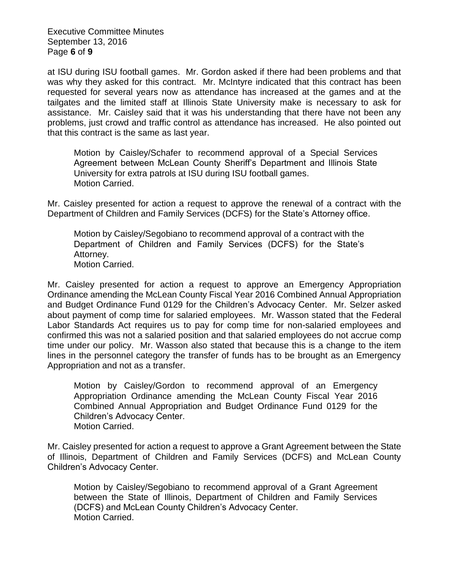Executive Committee Minutes September 13, 2016 Page **6** of **9**

at ISU during ISU football games. Mr. Gordon asked if there had been problems and that was why they asked for this contract. Mr. McIntyre indicated that this contract has been requested for several years now as attendance has increased at the games and at the tailgates and the limited staff at Illinois State University make is necessary to ask for assistance. Mr. Caisley said that it was his understanding that there have not been any problems, just crowd and traffic control as attendance has increased. He also pointed out that this contract is the same as last year.

Motion by Caisley/Schafer to recommend approval of a Special Services Agreement between McLean County Sheriff's Department and Illinois State University for extra patrols at ISU during ISU football games. Motion Carried.

Mr. Caisley presented for action a request to approve the renewal of a contract with the Department of Children and Family Services (DCFS) for the State's Attorney office.

Motion by Caisley/Segobiano to recommend approval of a contract with the Department of Children and Family Services (DCFS) for the State's Attorney. Motion Carried.

Mr. Caisley presented for action a request to approve an Emergency Appropriation Ordinance amending the McLean County Fiscal Year 2016 Combined Annual Appropriation and Budget Ordinance Fund 0129 for the Children's Advocacy Center. Mr. Selzer asked about payment of comp time for salaried employees. Mr. Wasson stated that the Federal Labor Standards Act requires us to pay for comp time for non-salaried employees and confirmed this was not a salaried position and that salaried employees do not accrue comp time under our policy. Mr. Wasson also stated that because this is a change to the item lines in the personnel category the transfer of funds has to be brought as an Emergency Appropriation and not as a transfer.

Motion by Caisley/Gordon to recommend approval of an Emergency Appropriation Ordinance amending the McLean County Fiscal Year 2016 Combined Annual Appropriation and Budget Ordinance Fund 0129 for the Children's Advocacy Center. Motion Carried.

Mr. Caisley presented for action a request to approve a Grant Agreement between the State of Illinois, Department of Children and Family Services (DCFS) and McLean County Children's Advocacy Center.

Motion by Caisley/Segobiano to recommend approval of a Grant Agreement between the State of Illinois, Department of Children and Family Services (DCFS) and McLean County Children's Advocacy Center. Motion Carried.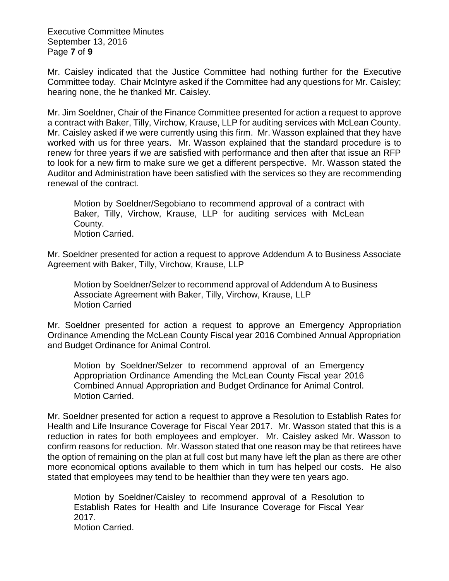Executive Committee Minutes September 13, 2016 Page **7** of **9**

Mr. Caisley indicated that the Justice Committee had nothing further for the Executive Committee today. Chair McIntyre asked if the Committee had any questions for Mr. Caisley; hearing none, the he thanked Mr. Caisley.

Mr. Jim Soeldner, Chair of the Finance Committee presented for action a request to approve a contract with Baker, Tilly, Virchow, Krause, LLP for auditing services with McLean County. Mr. Caisley asked if we were currently using this firm. Mr. Wasson explained that they have worked with us for three years. Mr. Wasson explained that the standard procedure is to renew for three years if we are satisfied with performance and then after that issue an RFP to look for a new firm to make sure we get a different perspective. Mr. Wasson stated the Auditor and Administration have been satisfied with the services so they are recommending renewal of the contract.

Motion by Soeldner/Segobiano to recommend approval of a contract with Baker, Tilly, Virchow, Krause, LLP for auditing services with McLean County. Motion Carried.

Mr. Soeldner presented for action a request to approve Addendum A to Business Associate Agreement with Baker, Tilly, Virchow, Krause, LLP

Motion by Soeldner/Selzer to recommend approval of Addendum A to Business Associate Agreement with Baker, Tilly, Virchow, Krause, LLP Motion Carried

Mr. Soeldner presented for action a request to approve an Emergency Appropriation Ordinance Amending the McLean County Fiscal year 2016 Combined Annual Appropriation and Budget Ordinance for Animal Control.

Motion by Soeldner/Selzer to recommend approval of an Emergency Appropriation Ordinance Amending the McLean County Fiscal year 2016 Combined Annual Appropriation and Budget Ordinance for Animal Control. Motion Carried.

Mr. Soeldner presented for action a request to approve a Resolution to Establish Rates for Health and Life Insurance Coverage for Fiscal Year 2017. Mr. Wasson stated that this is a reduction in rates for both employees and employer. Mr. Caisley asked Mr. Wasson to confirm reasons for reduction. Mr. Wasson stated that one reason may be that retirees have the option of remaining on the plan at full cost but many have left the plan as there are other more economical options available to them which in turn has helped our costs. He also stated that employees may tend to be healthier than they were ten years ago.

Motion by Soeldner/Caisley to recommend approval of a Resolution to Establish Rates for Health and Life Insurance Coverage for Fiscal Year 2017. Motion Carried.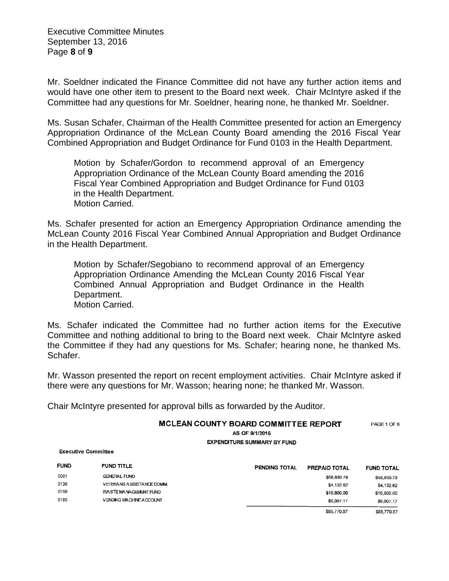Executive Committee Minutes September 13, 2016 Page **8** of **9**

Mr. Soeldner indicated the Finance Committee did not have any further action items and would have one other item to present to the Board next week. Chair McIntyre asked if the Committee had any questions for Mr. Soeldner, hearing none, he thanked Mr. Soeldner.

Ms. Susan Schafer, Chairman of the Health Committee presented for action an Emergency Appropriation Ordinance of the McLean County Board amending the 2016 Fiscal Year Combined Appropriation and Budget Ordinance for Fund 0103 in the Health Department.

Motion by Schafer/Gordon to recommend approval of an Emergency Appropriation Ordinance of the McLean County Board amending the 2016 Fiscal Year Combined Appropriation and Budget Ordinance for Fund 0103 in the Health Department. Motion Carried.

Ms. Schafer presented for action an Emergency Appropriation Ordinance amending the McLean County 2016 Fiscal Year Combined Annual Appropriation and Budget Ordinance in the Health Department.

Motion by Schafer/Segobiano to recommend approval of an Emergency Appropriation Ordinance Amending the McLean County 2016 Fiscal Year Combined Annual Appropriation and Budget Ordinance in the Health Department. Motion Carried.

Ms. Schafer indicated the Committee had no further action items for the Executive Committee and nothing additional to bring to the Board next week. Chair McIntyre asked the Committee if they had any questions for Ms. Schafer; hearing none, he thanked Ms. Schafer.

Mr. Wasson presented the report on recent employment activities. Chair McIntyre asked if there were any questions for Mr. Wasson; hearing none; he thanked Mr. Wasson.

Chair McIntyre presented for approval bills as forwarded by the Auditor.

## MCLEAN COUNTY BOARD COMMITTEE REPORT PACE 1 OF 6

AS OF 9/1/2016

**EXPENDITURE SUMMARY BY FUND** 

**Executive Committee** 

| <b>FUND</b> | <b>FUND TITLE</b>              | PENDING TOTAL | <b>PREPAID TOTAL</b> | <b>FUND TOTAL</b> |
|-------------|--------------------------------|---------------|----------------------|-------------------|
| 0001        | <b>GENERAL FUND</b>            |               | \$58,830.78          | \$58,830.78       |
| 0136        | VETERANS ASSISTANCE COMM.      |               | \$4.132.62           | \$4,132.62        |
| 0159        | WASTE MANAGEMENT FUND          |               | \$16,800.00          | \$16,800.00       |
| 0180        | <b>VENDING MACHINE ACCOUNT</b> |               | \$6,007.17           | \$6,007,17        |
|             |                                |               | \$85,770.57          | \$85,770.57       |